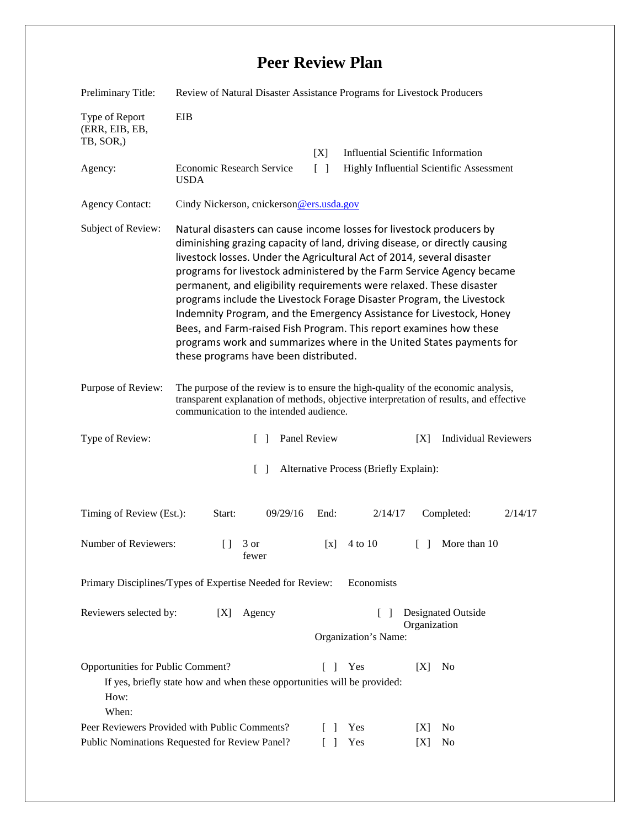## **Peer Review Plan**

| Preliminary Title:                                                                              | Review of Natural Disaster Assistance Programs for Livestock Producers                                                                                                                                                                                                                                                                                                                                                                                                                                                                                                                                                                                                                                                |                                      |                                                                                       |
|-------------------------------------------------------------------------------------------------|-----------------------------------------------------------------------------------------------------------------------------------------------------------------------------------------------------------------------------------------------------------------------------------------------------------------------------------------------------------------------------------------------------------------------------------------------------------------------------------------------------------------------------------------------------------------------------------------------------------------------------------------------------------------------------------------------------------------------|--------------------------------------|---------------------------------------------------------------------------------------|
| Type of Report<br>(ERR, EIB, EB,<br>TB, SOR,)                                                   | EIB                                                                                                                                                                                                                                                                                                                                                                                                                                                                                                                                                                                                                                                                                                                   |                                      |                                                                                       |
| Agency:                                                                                         | <b>Economic Research Service</b><br><b>USDA</b>                                                                                                                                                                                                                                                                                                                                                                                                                                                                                                                                                                                                                                                                       | [X]<br>$\lceil \rceil$               | <b>Influential Scientific Information</b><br>Highly Influential Scientific Assessment |
| <b>Agency Contact:</b>                                                                          | Cindy Nickerson, cnickerson@ers.usda.gov                                                                                                                                                                                                                                                                                                                                                                                                                                                                                                                                                                                                                                                                              |                                      |                                                                                       |
| Subject of Review:                                                                              | Natural disasters can cause income losses for livestock producers by<br>diminishing grazing capacity of land, driving disease, or directly causing<br>livestock losses. Under the Agricultural Act of 2014, several disaster<br>programs for livestock administered by the Farm Service Agency became<br>permanent, and eligibility requirements were relaxed. These disaster<br>programs include the Livestock Forage Disaster Program, the Livestock<br>Indemnity Program, and the Emergency Assistance for Livestock, Honey<br>Bees, and Farm-raised Fish Program. This report examines how these<br>programs work and summarizes where in the United States payments for<br>these programs have been distributed. |                                      |                                                                                       |
| Purpose of Review:                                                                              | The purpose of the review is to ensure the high-quality of the economic analysis,<br>transparent explanation of methods, objective interpretation of results, and effective<br>communication to the intended audience.                                                                                                                                                                                                                                                                                                                                                                                                                                                                                                |                                      |                                                                                       |
| Type of Review:                                                                                 | $\mathbf{I}$                                                                                                                                                                                                                                                                                                                                                                                                                                                                                                                                                                                                                                                                                                          | Panel Review                         | <b>Individual Reviewers</b><br>[X]                                                    |
| $\lceil \rceil$<br>Alternative Process (Briefly Explain):                                       |                                                                                                                                                                                                                                                                                                                                                                                                                                                                                                                                                                                                                                                                                                                       |                                      |                                                                                       |
| Timing of Review (Est.):                                                                        | 09/29/16<br>Start:                                                                                                                                                                                                                                                                                                                                                                                                                                                                                                                                                                                                                                                                                                    | End:<br>2/14/17                      | Completed:<br>2/14/17                                                                 |
| Number of Reviewers:                                                                            | $\Box$<br>3 or<br>fewer                                                                                                                                                                                                                                                                                                                                                                                                                                                                                                                                                                                                                                                                                               | 4 to 10<br>[x]                       | More than 10<br>L L                                                                   |
| Primary Disciplines/Types of Expertise Needed for Review:<br>Economists                         |                                                                                                                                                                                                                                                                                                                                                                                                                                                                                                                                                                                                                                                                                                                       |                                      |                                                                                       |
| Reviewers selected by:                                                                          | Agency<br>[X]                                                                                                                                                                                                                                                                                                                                                                                                                                                                                                                                                                                                                                                                                                         | $\mathsf{L}$<br>Organization's Name: | <b>Designated Outside</b><br>Organization                                             |
| Opportunities for Public Comment?<br>How:<br>When:                                              | If yes, briefly state how and when these opportunities will be provided:                                                                                                                                                                                                                                                                                                                                                                                                                                                                                                                                                                                                                                              | Yes<br>$\Box$                        | [X]<br>N <sub>0</sub>                                                                 |
| Peer Reviewers Provided with Public Comments?<br>Public Nominations Requested for Review Panel? |                                                                                                                                                                                                                                                                                                                                                                                                                                                                                                                                                                                                                                                                                                                       | Yes<br>$\mathbf{I}$<br>Yes<br>$\Box$ | N <sub>0</sub><br>[X]<br>[X]<br>No                                                    |